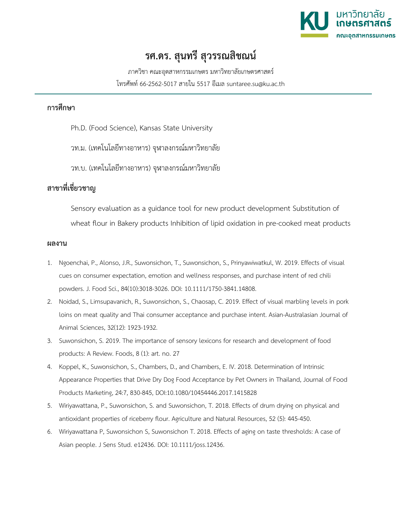

## **รศ.ดร. สุนทรี สุวรรณสิชณน**

ภาควิชา คณะอุตสาหกรรมเกษตร มหาวิทยาลัยเกษตรศาสตร โทรศัพท 66-2562-5017 สายใน 5517 อีเมล suntaree.su@ku.ac.th

## **การศึกษา**

- Ph.D. (Food Science), Kansas State University
- วท.ม. (เทคโนโลยีทางอาหาร) จุฬาลงกรณมหาวิทยาลัย
- วท.บ. (เทคโนโลยีทางอาหาร) จุฬาลงกรณมหาวิทยาลัย

## **สาขาที่เชี่ยวชาญ**

Sensory evaluation as a guidance tool for new product development Substitution of wheat flour in Bakery products Inhibition of lipid oxidation in pre-cooked meat products

## **ผลงาน**

- 1. Ngoenchai, P., Alonso, J.R., Suwonsichon, T., Suwonsichon, S., Prinyawiwatkul, W. 2019. Effects of visual cues on consumer expectation, emotion and wellness responses, and purchase intent of red chili powders. J. Food Sci., 84(10):3018-3026. DOI: 10.1111/1750-3841.14808.
- 2. Noidad, S., Limsupavanich, R., Suwonsichon, S., Chaosap, C. 2019. Effect of visual marbling levels in pork loins on meat quality and Thai consumer acceptance and purchase intent. Asian-Australasian Journal of Animal Sciences, 32(12): 1923-1932.
- 3. Suwonsichon, S. 2019. The importance of sensory lexicons for research and development of food products: A Review. Foods, 8 (1): art. no. 27
- 4. Koppel, K., Suwonsichon, S., Chambers, D., and Chambers, E. IV. 2018. Determination of Intrinsic Appearance Properties that Drive Dry Dog Food Acceptance by Pet Owners in Thailand, Journal of Food Products Marketing, 24:7, 830-845, DOI:10.1080/10454446.2017.1415828
- 5. Wiriyawattana, P., Suwonsichon, S. and Suwonsichon, T. 2018. Effects of drum drying on physical and antioxidant properties of riceberry flour. Agriculture and Natural Resources, 52 (5): 445-450.
- 6. Wiriyawattana P, Suwonsichon S, Suwonsichon T. 2018. Effects of aging on taste thresholds: A case of Asian people. J Sens Stud. e12436. DOI: 10.1111/joss.12436.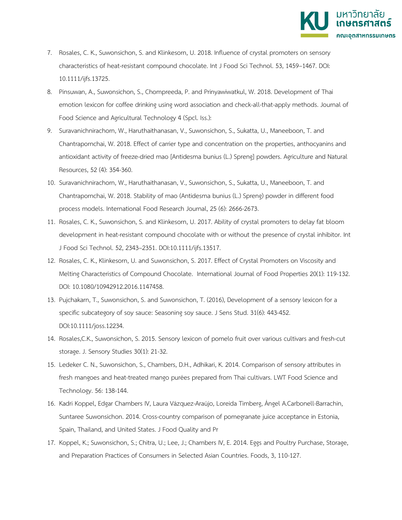

- 7. Rosales, C. K., Suwonsichon, S. and Klinkesorn, U. 2018. Influence of crystal promoters on sensory characteristics of heat-resistant compound chocolate. Int J Food Sci Technol. 53, 1459–1467. DOI: 10.1111/ijfs.13725.
- 8. Pinsuwan, A., Suwonsichon, S., Chompreeda, P. and Prinyawiwatkul, W. 2018. Development of Thai emotion lexicon for coffee drinking using word association and check-all-that-apply methods. Journal of Food Science and Agricultural Technology 4 (Spcl. Iss.):
- 9. Suravanichnirachorn, W., Haruthaithanasan, V., Suwonsichon, S., Sukatta, U., Maneeboon, T. and Chantrapornchai, W. 2018. Effect of carrier type and concentration on the properties, anthocyanins and antioxidant activity of freeze-dried mao [Antidesma bunius (L.) Spreng] powders. Agriculture and Natural Resources, 52 (4): 354-360.
- 10. Suravanichnirachorn, W., Haruthaithanasan, V., Suwonsichon, S., Sukatta, U., Maneeboon, T. and Chantrapornchai, W. 2018. Stability of mao (Antidesma bunius (L.) Spreng) powder in different food process models. International Food Research Journal, 25 (6): 2666-2673.
- 11. Rosales, C. K., Suwonsichon, S. and Klinkesorn, U. 2017. Ability of crystal promoters to delay fat bloom development in heat-resistant compound chocolate with or without the presence of crystal inhibitor. Int J Food Sci Technol. 52, 2343–2351. DOI:10.1111/ijfs.13517.
- 12. Rosales, C. K., Klinkesorn, U. and Suwonsichon, S. 2017. Effect of Crystal Promoters on Viscosity and Melting Characteristics of Compound Chocolate. International Journal of Food Properties 20(1): 119-132. DOI: 10.1080/10942912.2016.1147458.
- 13. Pujchakarn, T., Suwonsichon, S. and Suwonsichon, T. (2016), Development of a sensory lexicon for a specific subcategory of soy sauce: Seasoning soy sauce. J Sens Stud. 31(6): 443-452. DOI:10.1111/joss.12234.
- 14. Rosales,C.K., Suwonsichon, S. 2015. Sensory lexicon of pomelo fruit over various cultivars and fresh-cut storage. J. Sensory Studies 30(1): 21-32.
- 15. Ledeker C. N., Suwonsichon, S., Chambers, D.H., Adhikari, K. 2014. Comparison of sensory attributes in fresh mangoes and heat-treated mango purées prepared from Thai cultivars. LWT Food Science and Technology. 56: 138-144.
- 16. Kadri Koppel, Edgar Chambers IV, Laura Vázquez-Araújo, Loreida Timberg, Ángel A.Carbonell-Barrachin, Suntaree Suwonsichon. 2014. Cross-country comparison of pomegranate juice acceptance in Estonia, Spain, Thailand, and United States. J Food Quality and Pr
- 17. Koppel, K.; Suwonsichon, S.; Chitra, U.; Lee, J.; Chambers IV, E. 2014. Eggs and Poultry Purchase, Storage, and Preparation Practices of Consumers in Selected Asian Countries. Foods, 3, 110-127.